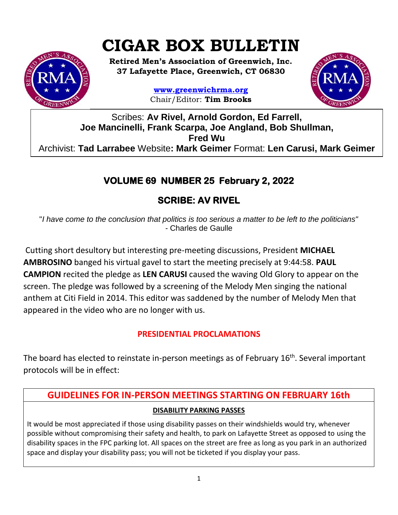# **CIGAR BOX BULLETIN**

**Retired Men's Association of Greenwich, Inc. 37 Lafayette Place, Greenwich, CT 06830**

> **www.greenwichrma.org** Chair/Editor: **Tim Brooks**



Scribes: **Av Rivel, Arnold Gordon, Ed Farrell, Joe Mancinelli, Frank Scarpa, Joe Angland, Bob Shullman, Fred Wu** Archivist: **Tad Larrabee** Website**: Mark Geimer** Format: **Len Carusi, Mark Geimer c**

# **VOLUME 69 NUMBER 25 February 2, 2022**

# **SCRIBE: AV RIVEL**

"*I have come to the conclusion that politics is too serious a matter to be left to the politicians" -* Charles de Gaulle

Cutting short desultory but interesting pre-meeting discussions, President **MICHAEL AMBROSINO** banged his virtual gavel to start the meeting precisely at 9:44:58. **PAUL CAMPION** recited the pledge as **LEN CARUSI** caused the waving Old Glory to appear on the screen. The pledge was followed by a screening of the Melody Men singing the national anthem at Citi Field in 2014. This editor was saddened by the number of Melody Men that appeared in the video who are no longer with us.

#### **PRESIDENTIAL PROCLAMATIONS**

The board has elected to reinstate in-person meetings as of February 16<sup>th</sup>. Several important protocols will be in effect:

## **GUIDELINES FOR IN-PERSON MEETINGS STARTING ON FEBRUARY 16th DISABILITY PARKING PASSES**

It would be most appreciated if those using disability passes on their windshields would try, whenever possible without compromising their safety and health, to park on Lafayette Street as opposed to using the disability spaces in the FPC parking lot. All spaces on the street are free as long as you park in an authorized space and display your disability pass; you will not be ticketed if you display your pass.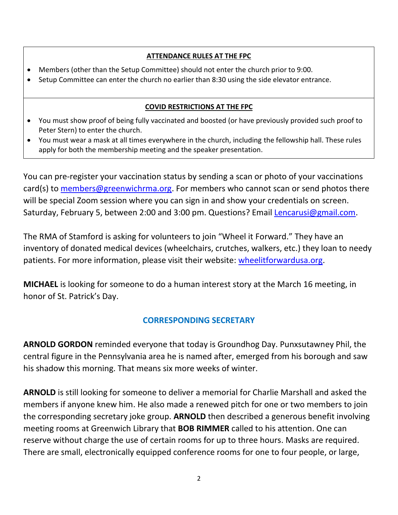#### **ATTENDANCE RULES AT THE FPC**

- Members (other than the Setup Committee) should not enter the church prior to 9:00.
- Setup Committee can enter the church no earlier than 8:30 using the side elevator entrance.

#### **COVID RESTRICTIONS AT THE FPC**

- You must show proof of being fully vaccinated and boosted (or have previously provided such proof to Peter Stern) to enter the church.
- You must wear a mask at all times everywhere in the church, including the fellowship hall. These rules apply for both the membership meeting and the speaker presentation.

You can pre-register your vaccination status by sending a scan or photo of your vaccinations card(s) to [members@greenwichrma.org.](mailto:members@greenwichrma.org) For members who cannot scan or send photos there will be special Zoom session where you can sign in and show your credentials on screen. Saturday, February 5, between 2:00 and 3:00 pm. Questions? Email [Lencarusi@gmail.com.](mailto:Lencarusi@gmail.com)

The RMA of Stamford is asking for volunteers to join "Wheel it Forward." They have an inventory of donated medical devices (wheelchairs, crutches, walkers, etc.) they loan to needy patients. For more information, please visit their website: [wheelitforwardusa.org.](https://www.wheelitforwardusa.org/)

**MICHAEL** is looking for someone to do a human interest story at the March 16 meeting, in honor of St. Patrick's Day.

#### **CORRESPONDING SECRETARY**

**ARNOLD GORDON** reminded everyone that today is Groundhog Day. Punxsutawney Phil, the central figure in the Pennsylvania area he is named after, emerged from his borough and saw his shadow this morning. That means six more weeks of winter.

**ARNOLD** is still looking for someone to deliver a memorial for Charlie Marshall and asked the members if anyone knew him. He also made a renewed pitch for one or two members to join the corresponding secretary joke group. **ARNOLD** then described a generous benefit involving meeting rooms at Greenwich Library that **BOB RIMMER** called to his attention. One can reserve without charge the use of certain rooms for up to three hours. Masks are required. There are small, electronically equipped conference rooms for one to four people, or large,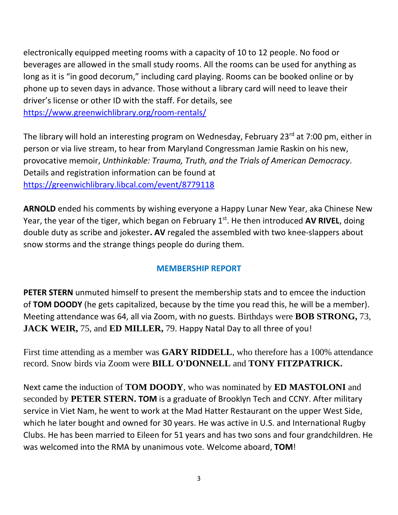electronically equipped meeting rooms with a capacity of 10 to 12 people. No food or beverages are allowed in the small study rooms. All the rooms can be used for anything as long as it is "in good decorum," including card playing. Rooms can be booked online or by phone up to seven days in advance. Those without a library card will need to leave their driver's license or other ID with the staff. For details, see

<https://www.greenwichlibrary.org/room-rentals/>

The library will hold an interesting program on Wednesday, February 23<sup>rd</sup> at 7:00 pm, either in person or via live stream, to hear from Maryland Congressman Jamie Raskin on his new, provocative memoir, *Unthinkable: Trauma, Truth, and the Trials of American Democracy*. Details and registration information can be found at <https://greenwichlibrary.libcal.com/event/8779118>

**ARNOLD** ended his comments by wishing everyone a Happy Lunar New Year, aka Chinese New Year, the year of the tiger, which began on February 1<sup>st</sup>. He then introduced AV RIVEL, doing double duty as scribe and jokester**. AV** regaled the assembled with two knee-slappers about snow storms and the strange things people do during them.

#### **MEMBERSHIP REPORT**

**PETER STERN** unmuted himself to present the membership stats and to emcee the induction of **TOM DOODY** (he gets capitalized, because by the time you read this, he will be a member). Meeting attendance was 64, all via Zoom, with no guests. Birthdays were **BOB STRONG,** 73, **JACK WEIR,** 75, and **ED MILLER,** 79. Happy Natal Day to all three of you!

First time attending as a member was **GARY RIDDELL**, who therefore has a 100% attendance record. Snow birds via Zoom were **BILL O'DONNELL** and **TONY FITZPATRICK.**

Next came the induction of **TOM DOODY**, who was nominated by **ED MASTOLONI** and seconded by **PETER STERN. TOM** is a graduate of Brooklyn Tech and CCNY. After military service in Viet Nam, he went to work at the Mad Hatter Restaurant on the upper West Side, which he later bought and owned for 30 years. He was active in U.S. and International Rugby Clubs. He has been married to Eileen for 51 years and has two sons and four grandchildren. He was welcomed into the RMA by unanimous vote. Welcome aboard, **TOM**!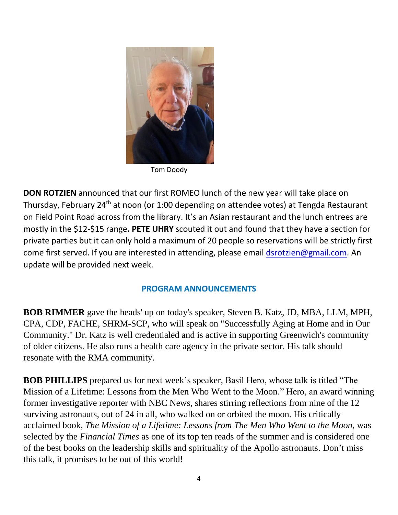

Tom Doody

**DON ROTZIEN** announced that our first ROMEO lunch of the new year will take place on Thursday, February 24th at noon (or 1:00 depending on attendee votes) at Tengda Restaurant on Field Point Road across from the library. It's an Asian restaurant and the lunch entrees are mostly in the \$12-\$15 range**. PETE UHRY** scouted it out and found that they have a section for private parties but it can only hold a maximum of 20 people so reservations will be strictly first come first served. If you are interested in attending, please email [dsrotzien@gmail.com.](mailto:dsrotzien@gmail.com) An update will be provided next week.

#### **PROGRAM ANNOUNCEMENTS**

**BOB RIMMER** gave the heads' up on today's speaker, Steven B. Katz, JD, MBA, LLM, MPH, CPA, CDP, FACHE, SHRM-SCP, who will speak on "Successfully Aging at Home and in Our Community." Dr. Katz is well credentialed and is active in supporting Greenwich's community of older citizens. He also runs a health care agency in the private sector. His talk should resonate with the RMA community.

**BOB PHILLIPS** prepared us for next week's speaker, Basil Hero, whose talk is titled "The Mission of a Lifetime: Lessons from the Men Who Went to the Moon." Hero, an award winning former investigative reporter with NBC News, shares stirring reflections from nine of the 12 surviving astronauts, out of 24 in all, who walked on or orbited the moon. His critically acclaimed book, *The Mission of a Lifetime: Lessons from The Men Who Went to the Moon*, was selected by the *Financial Times* as one of its top ten reads of the summer and is considered one of the best books on the leadership skills and spirituality of the Apollo astronauts. Don't miss this talk, it promises to be out of this world!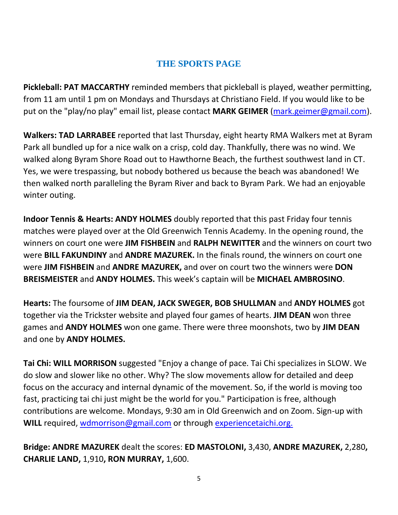### **THE SPORTS PAGE**

**Pickleball: PAT MACCARTHY** reminded members that pickleball is played, weather permitting, from 11 am until 1 pm on Mondays and Thursdays at Christiano Field. If you would like to be put on the "play/no play" email list, please contact **MARK GEIMER** [\(mark.geimer@gmail.com\)](mailto:mark.geimer@gmail.com).

**Walkers: TAD LARRABEE** reported that last Thursday, eight hearty RMA Walkers met at Byram Park all bundled up for a nice walk on a crisp, cold day. Thankfully, there was no wind. We walked along Byram Shore Road out to Hawthorne Beach, the furthest southwest land in CT. Yes, we were trespassing, but nobody bothered us because the beach was abandoned! We then walked north paralleling the Byram River and back to Byram Park. We had an enjoyable winter outing.

**Indoor Tennis & Hearts: ANDY HOLMES** doubly reported that this past Friday four tennis matches were played over at the Old Greenwich Tennis Academy. In the opening round, the winners on court one were **JIM FISHBEIN** and **RALPH NEWITTER** and the winners on court two were **BILL FAKUNDINY** and **ANDRE MAZUREK.** In the finals round, the winners on court one were **JIM FISHBEIN** and **ANDRE MAZUREK,** and over on court two the winners were **DON BREISMEISTER** and **ANDY HOLMES.** This week's captain will be **MICHAEL AMBROSINO**.

**Hearts:** The foursome of **JIM DEAN, JACK SWEGER, BOB SHULLMAN** and **ANDY HOLMES** got together via the Trickster website and played four games of hearts. **JIM DEAN** won three games and **ANDY HOLMES** won one game. There were three moonshots, two by **JIM DEAN** and one by **ANDY HOLMES.**

**Tai Chi: WILL MORRISON** suggested "Enjoy a change of pace. Tai Chi specializes in SLOW. We do slow and slower like no other. Why? The slow movements allow for detailed and deep focus on the accuracy and internal dynamic of the movement. So, if the world is moving too fast, practicing tai chi just might be the world for you." Participation is free, although contributions are welcome. Mondays, 9:30 am in Old Greenwich and on Zoom. Sign-up with WILL required, [wdmorrison@gmail.com](mailto:wdmorrison@gmail.com) or through [experiencetaichi.org.](http://experiencetaichi.org/)

**Bridge: ANDRE MAZUREK** dealt the scores: **ED MASTOLONI,** 3,430, **ANDRE MAZUREK,** 2,280**, CHARLIE LAND,** 1,910**, RON MURRAY,** 1,600.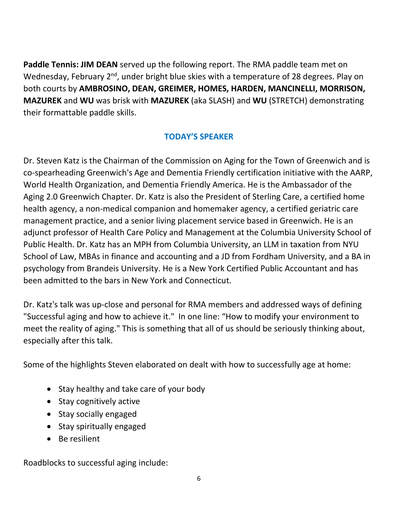**Paddle Tennis: JIM DEAN** served up the following report. The RMA paddle team met on Wednesday, February 2<sup>nd</sup>, under bright blue skies with a temperature of 28 degrees. Play on both courts by **AMBROSINO, DEAN, GREIMER, HOMES, HARDEN, MANCINELLI, MORRISON, MAZUREK** and **WU** was brisk with **MAZUREK** (aka SLASH) and **WU** (STRETCH) demonstrating their formattable paddle skills.

#### **TODAY'S SPEAKER**

Dr. Steven Katz is the Chairman of the Commission on Aging for the Town of Greenwich and is co-spearheading Greenwich's Age and Dementia Friendly certification initiative with the AARP, World Health Organization, and Dementia Friendly America. He is the Ambassador of the Aging 2.0 Greenwich Chapter. Dr. Katz is also the President of Sterling Care, a certified home health agency, a non-medical companion and homemaker agency, a certified geriatric care management practice, and a senior living placement service based in Greenwich. He is an adjunct professor of Health Care Policy and Management at the Columbia University School of Public Health. Dr. Katz has an MPH from Columbia University, an LLM in taxation from NYU School of Law, MBAs in finance and accounting and a JD from Fordham University, and a BA in psychology from Brandeis University. He is a New York Certified Public Accountant and has been admitted to the bars in New York and Connecticut.

Dr. Katz's talk was up-close and personal for RMA members and addressed ways of defining "Successful aging and how to achieve it." In one line: "How to modify your environment to meet the reality of aging." This is something that all of us should be seriously thinking about, especially after this talk.

Some of the highlights Steven elaborated on dealt with how to successfully age at home:

- Stay healthy and take care of your body
- Stay cognitively active
- Stay socially engaged
- Stay spiritually engaged
- Be resilient

Roadblocks to successful aging include: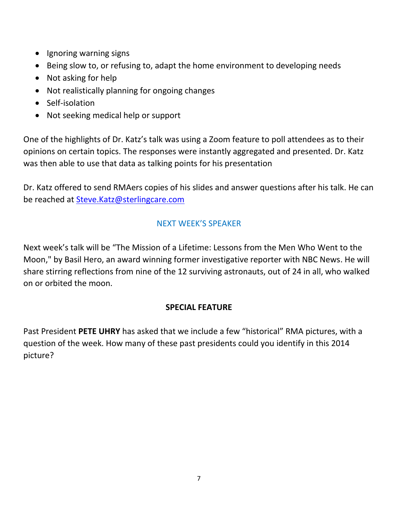- Ignoring warning signs
- Being slow to, or refusing to, adapt the home environment to developing needs
- Not asking for help
- Not realistically planning for ongoing changes
- Self-isolation
- Not seeking medical help or support

One of the highlights of Dr. Katz's talk was using a Zoom feature to poll attendees as to their opinions on certain topics. The responses were instantly aggregated and presented. Dr. Katz was then able to use that data as talking points for his presentation

Dr. Katz offered to send RMAers copies of his slides and answer questions after his talk. He can be reached at [Steve.Katz@sterlingcare.com](mailto:Steve.Katz@sterlingcare.com)

#### NEXT WEEK'S SPEAKER

Next week's talk will be "The Mission of a Lifetime: Lessons from the Men Who Went to the Moon," by Basil Hero, an award winning former investigative reporter with NBC News. He will share stirring reflections from nine of the 12 surviving astronauts, out of 24 in all, who walked on or orbited the moon.

#### **SPECIAL FEATURE**

Past President **PETE UHRY** has asked that we include a few "historical" RMA pictures, with a question of the week. How many of these past presidents could you identify in this 2014 picture?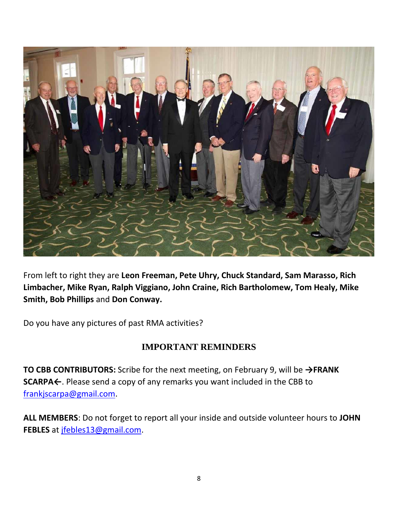

From left to right they are **Leon Freeman, Pete Uhry, Chuck Standard, Sam Marasso, Rich Limbacher, Mike Ryan, Ralph Viggiano, John Craine, Rich Bartholomew, Tom Healy, Mike Smith, Bob Phillips** and **Don Conway.**

Do you have any pictures of past RMA activities?

#### **IMPORTANT REMINDERS**

**TO CBB CONTRIBUTORS:** Scribe for the next meeting, on February 9, will be **→FRANK SCARPA←**. Please send a copy of any remarks you want included in the CBB to [frankjscarpa@gmail.com.](mailto:frankjscarpa@gmail.com)

**ALL MEMBERS**: Do not forget to report all your inside and outside volunteer hours to **JOHN FEBLES** at [jfebles13@gmail.com.](mailto:jfebles13@gmail.com)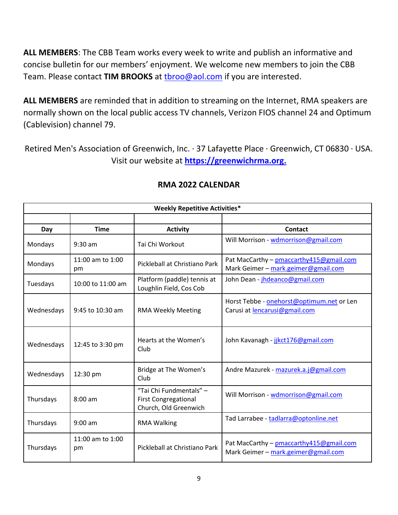**ALL MEMBERS**: The CBB Team works every week to write and publish an informative and concise bulletin for our members' enjoyment. We welcome new members to join the CBB Team. Please contact TIM BROOKS at throo@aol.com if you are interested.

**ALL MEMBERS** are reminded that in addition to streaming on the Internet, RMA speakers are normally shown on the local public access TV channels, Verizon FIOS channel 24 and Optimum (Cablevision) channel 79.

Retired Men's Association of Greenwich, Inc. · 37 Lafayette Place · Greenwich, CT 06830 · USA. Visit our website at **[https://greenwichrma.org.](https://greenwichrma.org/)**

| <b>Weekly Repetitive Activities*</b> |                        |                                                                                 |                                                                                 |  |
|--------------------------------------|------------------------|---------------------------------------------------------------------------------|---------------------------------------------------------------------------------|--|
|                                      |                        |                                                                                 |                                                                                 |  |
| Day                                  | <b>Time</b>            | <b>Activity</b>                                                                 | <b>Contact</b>                                                                  |  |
| Mondays                              | $9:30$ am              | Tai Chi Workout                                                                 | Will Morrison - wdmorrison@gmail.com                                            |  |
| Mondays                              | 11:00 am to 1:00<br>pm | Pickleball at Christiano Park                                                   | Pat MacCarthy - pmaccarthy 415@gmail.com<br>Mark Geimer - mark.geimer@gmail.com |  |
| Tuesdays                             | 10:00 to 11:00 am      | Platform (paddle) tennis at<br>Loughlin Field, Cos Cob                          | John Dean - jhdeanco@gmail.com                                                  |  |
| Wednesdays                           | 9:45 to 10:30 am       | <b>RMA Weekly Meeting</b>                                                       | Horst Tebbe - onehorst@optimum.net or Len<br>Carusi at lencarusi@gmail.com      |  |
| Wednesdays                           | 12:45 to 3:30 pm       | Hearts at the Women's<br>Club                                                   | John Kavanagh - jjkct176@gmail.com                                              |  |
| Wednesdays                           | 12:30 pm               | Bridge at The Women's<br>Club                                                   | Andre Mazurek - mazurek.a.j@gmail.com                                           |  |
| Thursdays                            | $8:00$ am              | "Tai Chi Fundmentals" -<br><b>First Congregational</b><br>Church, Old Greenwich | Will Morrison - wdmorrison@gmail.com                                            |  |
| Thursdays                            | $9:00$ am              | <b>RMA Walking</b>                                                              | Tad Larrabee - tadlarra@optonline.net                                           |  |
| Thursdays                            | 11:00 am to 1:00<br>pm | Pickleball at Christiano Park                                                   | Pat MacCarthy - pmaccarthy 415@gmail.com<br>Mark Geimer - mark.geimer@gmail.com |  |

#### **RMA 2022 CALENDAR**